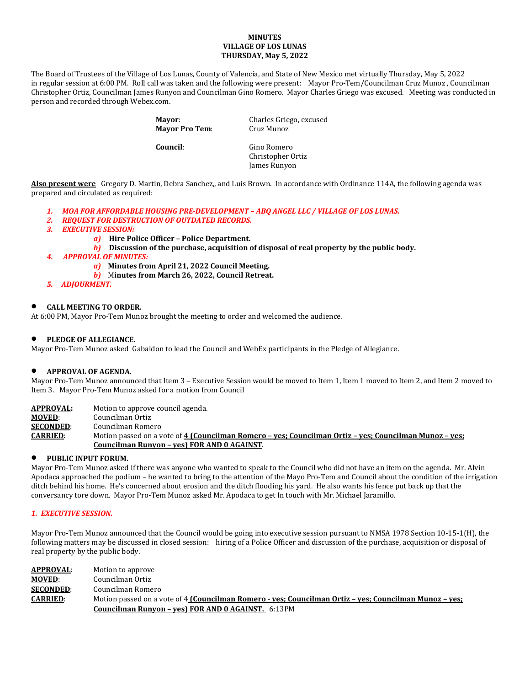### **MINUTES VILLAGE OF LOS LUNAS THURSDAY, May 5, 2022**

The Board of Trustees of the Village of Los Lunas, County of Valencia, and State of New Mexico met virtually Thursday, May 5, 2022 in regular session at 6:00 PM. Roll call was taken and the following were present: Mayor Pro-Tem/Councilman Cruz Munoz , Councilman Christopher Ortiz, Councilman James Runyon and Councilman Gino Romero. Mayor Charles Griego was excused. Meeting was conducted in person and recorded through Webex.com.

> **Mayor:** Charles Griego, excused<br> **Mayor Pro Tem:** Cruz Munoz **Mayor Pro Tem: Council**: Gino Romero Christopher Ortiz James Runyon

**Also present were** Gregory D. Martin, Debra Sanchez,, and Luis Brown. In accordance with Ordinance 114A, the following agenda was prepared and circulated as required:

- *1. MOA FOR AFFORDABLE HOUSING PRE-DEVELOPMENT – ABQ ANGEL LLC / VILLAGE OF LOS LUNAS.*
- *2. REQUEST FOR DESTRUCTION OF OUTDATED RECORDS.*
- *3. EXECUTIVE SESSION:*
	- *a)* **Hire Police Officer – Police Department.**
	- *b)* **Discussion of the purchase, acquisition of disposal of real property by the public body.**
- *4. APPROVAL OF MINUTES:*
	- *a)* **Minutes from April 21, 2022 Council Meeting.**
	- *b)* M**inutes from March 26, 2022, Council Retreat.**
- *5. ADJOURMENT.*

### • **CALL MEETING TO ORDER.**

At 6:00 PM, Mayor Pro-Tem Munoz brought the meeting to order and welcomed the audience.

#### • **PLEDGE OF ALLEGIANCE.**

Mayor Pro-Tem Munoz asked Gabaldon to lead the Council and WebEx participants in the Pledge of Allegiance.

### • **APPROVAL OF AGENDA**.

Mayor Pro-Tem Munoz announced that Item 3 – Executive Session would be moved to Item 1, Item 1 moved to Item 2, and Item 2 moved to Item 3. Mayor Pro-Tem Munoz asked for a motion from Council

**APPROVAL:** Motion to approve council agenda.<br>**MOVED**: Councilman Ortiz **MOVED:** Councilman Ortiz<br>**SECONDED:** Councilman Rome **SECONDED:** Councilman Romero<br>**CARRIED:** Motion passed on a v **CARRIED**: Motion passed on a vote of **4 (Councilman Romero – yes; Councilman Ortiz – yes; Councilman Munoz – yes; Councilman Runyon – yes) FOR AND 0 AGAINST**.

#### • **PUBLIC INPUT FORUM.**

Mayor Pro-Tem Munoz asked if there was anyone who wanted to speak to the Council who did not have an item on the agenda. Mr. Alvin Apodaca approached the podium – he wanted to bring to the attention of the Mayo Pro-Tem and Council about the condition of the irrigation ditch behind his home. He's concerned about erosion and the ditch flooding his yard. He also wants his fence put back up that the conversancy tore down. Mayor Pro-Tem Munoz asked Mr. Apodaca to get In touch with Mr. Michael Jaramillo.

#### *1. EXECUTIVE SESSION.*

Mayor Pro-Tem Munoz announced that the Council would be going into executive session pursuant to NMSA 1978 Section 10-15-1(H), the following matters may be discussed in closed session: hiring of a Police Officer and discussion of the purchase, acquisition or disposal of real property by the public body.

**APPROVAL:** Motion to approve<br> **MOVED:** Councilman Ortiz **MOVED:** Councilman Ortiz<br>**SECONDED:** Councilman Rome **SECONDED:** Councilman Romero<br>**CARRIED:** Motion passed on a v **CARRIED**: Motion passed on a vote of 4 **(Councilman Romero - yes; Councilman Ortiz – yes; Councilman Munoz – yes; Councilman Runyon – yes) FOR AND 0 AGAINST.** 6:13PM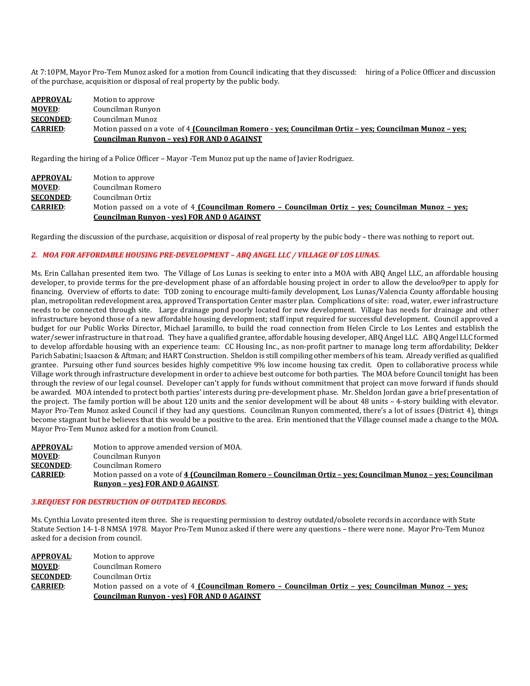At 7:10PM, Mayor Pro-Tem Munoz asked for a motion from Council indicating that they discussed: hiring of a Police Officer and discussion of the purchase, acquisition or disposal of real property by the public body.

### **APPROVAL:** Motion to approve<br>**MOVED:** Councilman Runyo **MOVED:** Councilman Runyon<br>**SECONDED:** Councilman Munoz **SECONDED:** Councilman Munoz<br>**CARRIED:** Motion passed on a **CARRIED**: Motion passed on a vote of 4 **(Councilman Romero - yes; Councilman Ortiz – yes; Councilman Munoz – yes; Councilman Runyon – yes) FOR AND 0 AGAINST**

Regarding the hiring of a Police Officer – Mayor -Tem Munoz put up the name of Javier Rodriguez.

| <b>APPROVAL:</b> | Motion to approve                                                                                 |
|------------------|---------------------------------------------------------------------------------------------------|
| <b>MOVED:</b>    | Councilman Romero                                                                                 |
| <b>SECONDED:</b> | Councilman Ortiz                                                                                  |
| <b>CARRIED:</b>  | Motion passed on a vote of 4 (Councilman Romero - Councilman Ortiz - ves: Councilman Munoz - ves: |
|                  | Councilman Runyon - yes) FOR AND 0 AGAINST                                                        |

Regarding the discussion of the purchase, acquisition or disposal of real property by the pubic body – there was nothing to report out.

### *2. MOA FOR AFFORDABLE HOUSING PRE-DEVELOPMENT – ABQ ANGEL LLC / VILLAGE OF LOS LUNAS.*

Ms. Erin Callahan presented item two. The Village of Los Lunas is seeking to enter into a MOA with ABQ Angel LLC, an affordable housing developer, to provide terms for the pre-development phase of an affordable housing project in order to allow the develoo9per to apply for financing. Overview of efforts to date: TOD zoning to encourage multi-family development, Los Lunas/Valencia County affordable housing plan, metropolitan redevelopment area, approved Transportation Center master plan. Complications of site: road, water, ewer infrastructure needs to be connected through site. Large drainage pond poorly located for new development. Village has needs for drainage and other infrastructure beyond those of a new affordable housing development; staff input required for successful development. Council approved a budget for our Public Works Director, Michael Jaramillo, to build the road connection from Helen Circle to Los Lentes and establish the water/sewer infrastructure in that road. They have a qualified grantee, affordable housing developer, ABQ Angel LLC. ABQ Angel LLC formed to develop affordable housing with an experience team: CC Housing Inc., as non-profit partner to manage long term affordability; Dekker Parich Sabatini; Isaacson & Aftman; and HART Construction. Sheldon is still compiling other members of his team. Already verified as qualified grantee. Pursuing other fund sources besides highly competitive 9% low income housing tax credit. Open to collaborative process while Village work through infrastructure development in order to achieve best outcome for both parties. The MOA before Council tonight has been through the review of our legal counsel. Developer can't apply for funds without commitment that project can move forward if funds should be awarded. MOA intended to protect both parties' interests during pre-development phase. Mr. Sheldon Jordan gave a brief presentation of the project. The family portion will be about 120 units and the senior development will be about 48 units – 4-story building with elevator. Mayor Pro-Tem Munoz asked Council if they had any questions. Councilman Runyon commented, there's a lot of issues (District 4), things become stagnant but he believes that this would be a positive to the area. Erin mentioned that the Village counsel made a change to the MOA. Mayor Pro-Tem Munoz asked for a motion from Council.

**APPROVAL:** Motion to approve amended version of MOA.<br>**MOVED**: Councilman Runyon **MOVED:** Councilman Runyon<br>**SECONDED:** Councilman Romero **SECONDED:** Councilman Romero<br>**CARRIED:** Motion passed on a v **CARRIED**: Motion passed on a vote of **4 (Councilman Romero – Councilman Ortiz – yes; Councilman Munoz – yes; Councilman Runyon – yes) FOR AND 0 AGAINST**.

#### *3.REQUEST FOR DESTRUCTION OF OUTDATED RECORDS.*

Ms. Cynthia Lovato presented item three. She is requesting permission to destroy outdated/obsolete records in accordance with State Statute Section 14-1-8 NMSA 1978. Mayor Pro-Tem Munoz asked if there were any questions – there were none. Mayor Pro-Tem Munoz asked for a decision from council.

| APPROVAL:        | Motion to approve                                                                                 |
|------------------|---------------------------------------------------------------------------------------------------|
| <b>MOVED:</b>    | Councilman Romero                                                                                 |
| <b>SECONDED:</b> | Councilman Ortiz                                                                                  |
| <b>CARRIED:</b>  | Motion passed on a vote of 4 (Councilman Romero - Councilman Ortiz - ves: Councilman Munoz - ves: |
|                  | Councilman Runyon - yes) FOR AND 0 AGAINST                                                        |